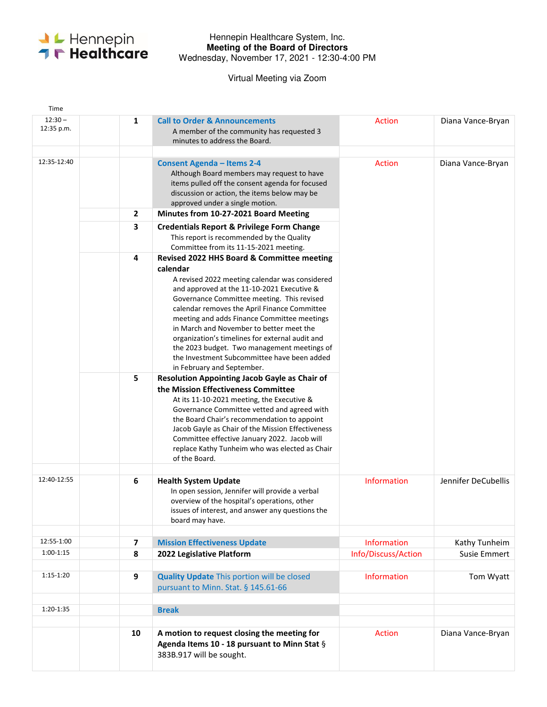

## Hennepin Healthcare System, Inc. **Meeting of the Board of Directors**  Wednesday, November 17, 2021 - 12:30-4:00 PM

Virtual Meeting via Zoom

| Time                    |                |                                                                                                                                                                                                                                                                                                                                                                                                                                                                                                                                |                                           |                               |
|-------------------------|----------------|--------------------------------------------------------------------------------------------------------------------------------------------------------------------------------------------------------------------------------------------------------------------------------------------------------------------------------------------------------------------------------------------------------------------------------------------------------------------------------------------------------------------------------|-------------------------------------------|-------------------------------|
| $12:30 -$<br>12:35 p.m. | 1              | <b>Call to Order &amp; Announcements</b><br>A member of the community has requested 3<br>minutes to address the Board.                                                                                                                                                                                                                                                                                                                                                                                                         | <b>Action</b>                             | Diana Vance-Bryan             |
| 12:35-12:40             |                | <b>Consent Agenda - Items 2-4</b><br>Although Board members may request to have<br>items pulled off the consent agenda for focused<br>discussion or action, the items below may be<br>approved under a single motion.                                                                                                                                                                                                                                                                                                          | Action                                    | Diana Vance-Bryan             |
|                         | $\overline{2}$ | Minutes from 10-27-2021 Board Meeting                                                                                                                                                                                                                                                                                                                                                                                                                                                                                          |                                           |                               |
|                         | 3              | <b>Credentials Report &amp; Privilege Form Change</b><br>This report is recommended by the Quality<br>Committee from its 11-15-2021 meeting.                                                                                                                                                                                                                                                                                                                                                                                   |                                           |                               |
|                         | 4              | Revised 2022 HHS Board & Committee meeting<br>calendar<br>A revised 2022 meeting calendar was considered<br>and approved at the 11-10-2021 Executive &<br>Governance Committee meeting. This revised<br>calendar removes the April Finance Committee<br>meeting and adds Finance Committee meetings<br>in March and November to better meet the<br>organization's timelines for external audit and<br>the 2023 budget. Two management meetings of<br>the Investment Subcommittee have been added<br>in February and September. |                                           |                               |
|                         | 5              | <b>Resolution Appointing Jacob Gayle as Chair of</b><br>the Mission Effectiveness Committee<br>At its 11-10-2021 meeting, the Executive &<br>Governance Committee vetted and agreed with<br>the Board Chair's recommendation to appoint<br>Jacob Gayle as Chair of the Mission Effectiveness<br>Committee effective January 2022. Jacob will<br>replace Kathy Tunheim who was elected as Chair<br>of the Board.                                                                                                                |                                           |                               |
| 12:40-12:55             | 6              | <b>Health System Update</b><br>In open session, Jennifer will provide a verbal<br>overview of the hospital's operations, other<br>issues of interest, and answer any questions the<br>board may have.                                                                                                                                                                                                                                                                                                                          | <b>Information</b>                        | Jennifer DeCubellis           |
| 12:55-1:00              |                |                                                                                                                                                                                                                                                                                                                                                                                                                                                                                                                                |                                           |                               |
| $1:00-1:15$             | 7<br>8         | <b>Mission Effectiveness Update</b><br>2022 Legislative Platform                                                                                                                                                                                                                                                                                                                                                                                                                                                               | <b>Information</b><br>Info/Discuss/Action | Kathy Tunheim<br>Susie Emmert |
|                         |                |                                                                                                                                                                                                                                                                                                                                                                                                                                                                                                                                |                                           |                               |
| 1:15-1:20               | 9              | <b>Quality Update This portion will be closed</b><br>pursuant to Minn. Stat. § 145.61-66                                                                                                                                                                                                                                                                                                                                                                                                                                       | <b>Information</b>                        | Tom Wyatt                     |
| 1:20-1:35               |                | <b>Break</b>                                                                                                                                                                                                                                                                                                                                                                                                                                                                                                                   |                                           |                               |
|                         |                |                                                                                                                                                                                                                                                                                                                                                                                                                                                                                                                                |                                           |                               |
|                         | 10             | A motion to request closing the meeting for<br>Agenda Items 10 - 18 pursuant to Minn Stat §<br>383B.917 will be sought.                                                                                                                                                                                                                                                                                                                                                                                                        | Action                                    | Diana Vance-Bryan             |